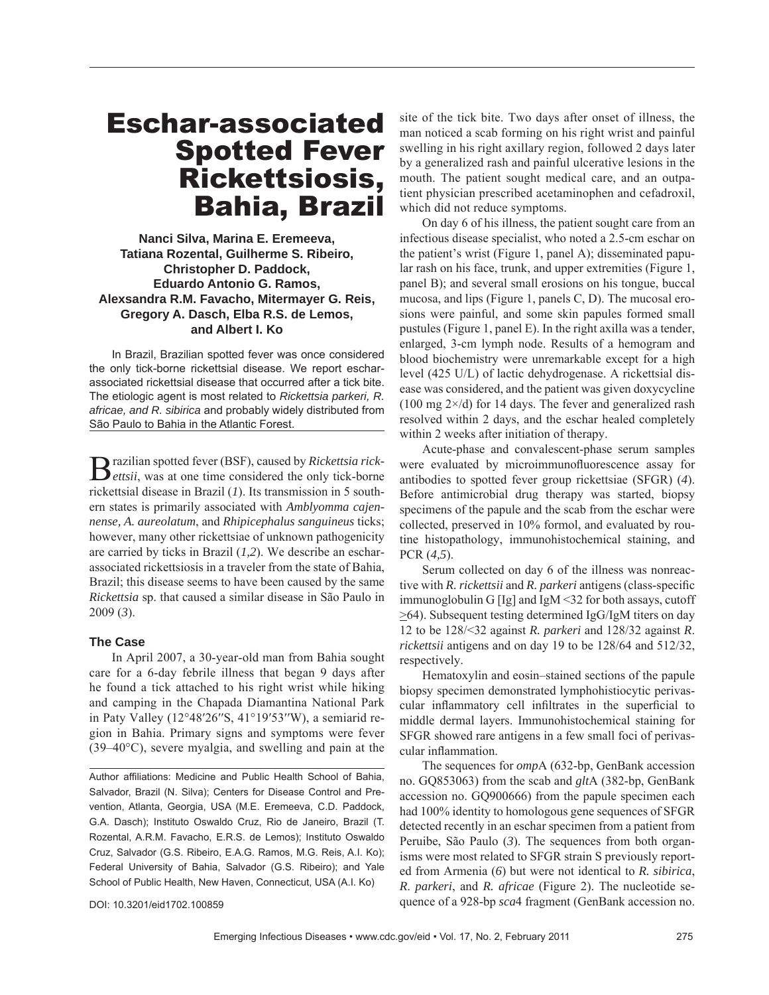# Eschar-associated Spotted Fever Rickettsiosis, Bahia, Brazil

**Nanci Silva, Marina E. Eremeeva, Tatiana Rozental, Guilherme S. Ribeiro, Christopher D. Paddock, Eduardo Antonio G. Ramos, Alexsandra R.M. Favacho, Mitermayer G. Reis, Gregory A. Dasch, Elba R.S. de Lemos, and Albert I. Ko**

In Brazil, Brazilian spotted fever was once considered the only tick-borne rickettsial disease. We report escharassociated rickettsial disease that occurred after a tick bite. The etiologic agent is most related to *Rickettsia parkeri, R. africae, and R. sibirica* and probably widely distributed from São Paulo to Bahia in the Atlantic Forest.

Brazilian spotted fever (BSF), caused by *Rickettsia rick-ettsii*, was at one time considered the only tick-borne rickettsial disease in Brazil (*1*). Its transmission in 5 southern states is primarily associated with *Amblyomma cajennense, A. aureolatum*, and *Rhipicephalus sanguineus* ticks; however, many other rickettsiae of unknown pathogenicity are carried by ticks in Brazil (*1,2*). We describe an escharassociated rickettsiosis in a traveler from the state of Bahia, Brazil; this disease seems to have been caused by the same *Rickettsia* sp. that caused a similar disease in São Paulo in 2009 (*3*).

#### **The Case**

In April 2007, a 30-year-old man from Bahia sought care for a 6-day febrile illness that began 9 days after he found a tick attached to his right wrist while hiking and camping in the Chapada Diamantina National Park in Paty Valley (12°48′26′′S, 41°19′53′′W), a semiarid region in Bahia. Primary signs and symptoms were fever (39–40°C), severe myalgia, and swelling and pain at the

Author affiliations: Medicine and Public Health School of Bahia. Salvador, Brazil (N. Silva); Centers for Disease Control and Prevention, Atlanta, Georgia, USA (M.E. Eremeeva, C.D. Paddock, G.A. Dasch); Instituto Oswaldo Cruz, Rio de Janeiro, Brazil (T. Rozental, A.R.M. Favacho, E.R.S. de Lemos); Instituto Oswaldo Cruz, Salvador (G.S. Ribeiro, E.A.G. Ramos, M.G. Reis, A.I. Ko); Federal University of Bahia, Salvador (G.S. Ribeiro); and Yale School of Public Health, New Haven, Connecticut, USA (A.I. Ko)

DOI: 10.3201/eid1702.100859

site of the tick bite. Two days after onset of illness, the man noticed a scab forming on his right wrist and painful swelling in his right axillary region, followed 2 days later by a generalized rash and painful ulcerative lesions in the mouth. The patient sought medical care, and an outpatient physician prescribed acetaminophen and cefadroxil, which did not reduce symptoms.

On day 6 of his illness, the patient sought care from an infectious disease specialist, who noted a 2.5-cm eschar on the patient's wrist (Figure 1, panel A); disseminated papular rash on his face, trunk, and upper extremities (Figure 1, panel B); and several small erosions on his tongue, buccal mucosa, and lips (Figure 1, panels C, D). The mucosal erosions were painful, and some skin papules formed small pustules (Figure 1, panel E). In the right axilla was a tender, enlarged, 3-cm lymph node. Results of a hemogram and blood biochemistry were unremarkable except for a high level (425 U/L) of lactic dehydrogenase. A rickettsial disease was considered, and the patient was given doxycycline  $(100 \text{ mg } 2 \times d)$  for 14 days. The fever and generalized rash resolved within 2 days, and the eschar healed completely within 2 weeks after initiation of therapy.

Acute-phase and convalescent-phase serum samples were evaluated by microimmunofluorescence assay for antibodies to spotted fever group rickettsiae (SFGR) (*4*). Before antimicrobial drug therapy was started, biopsy specimens of the papule and the scab from the eschar were collected, preserved in 10% formol, and evaluated by routine histopathology, immunohistochemical staining, and PCR (*4,5*).

Serum collected on day 6 of the illness was nonreactive with *R. rickettsii* and *R. parkeri* antigens (class-specific immunoglobulin G [Ig] and IgM <32 for both assays, cutoff >64). Subsequent testing determined IgG/IgM titers on day 12 to be 128/<32 against *R. parkeri* and 128/32 against *R*. *rickettsii* antigens and on day 19 to be 128/64 and 512/32, respectively.

Hematoxylin and eosin–stained sections of the papule biopsy specimen demonstrated lymphohistiocytic perivascular inflammatory cell infiltrates in the superficial to middle dermal layers. Immunohistochemical staining for SFGR showed rare antigens in a few small foci of perivascular inflammation.

The sequences for *omp*A (632-bp, GenBank accession no. GQ853063) from the scab and *glt*A (382-bp, GenBank accession no. GQ900666) from the papule specimen each had 100% identity to homologous gene sequences of SFGR detected recently in an eschar specimen from a patient from Peruibe, São Paulo (*3*). The sequences from both organisms were most related to SFGR strain S previously reported from Armenia (*6*) but were not identical to *R. sibirica*, *R*. *parkeri*, and *R. africae* (Figure 2). The nucleotide sequence of a 928-bp *sca*4 fragment (GenBank accession no.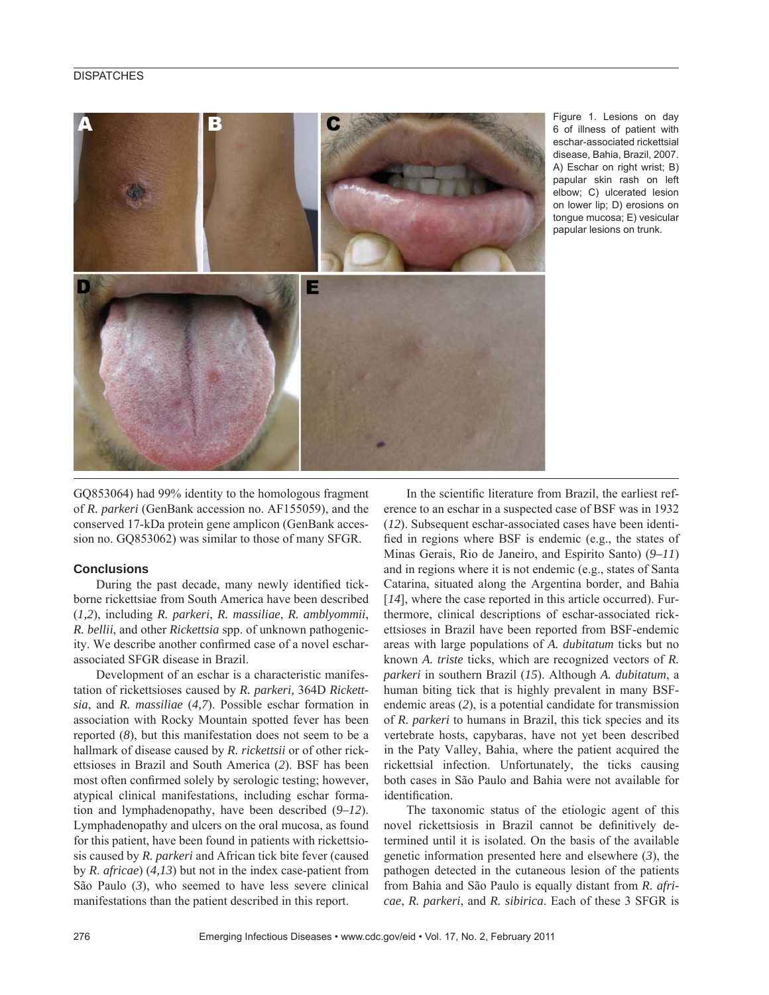## **DISPATCHES**



Figure 1. Lesions on day 6 of illness of patient with eschar-associated rickettsial disease, Bahia, Brazil, 2007. A) Eschar on right wrist; B) papular skin rash on left elbow; C) ulcerated lesion on lower lip; D) erosions on tongue mucosa; E) vesicular papular lesions on trunk.

GQ853064) had 99% identity to the homologous fragment of *R. parkeri* (GenBank accession no. AF155059), and the conserved 17-kDa protein gene amplicon (GenBank accession no. GQ853062) was similar to those of many SFGR.

## **Conclusions**

During the past decade, many newly identified tickborne rickettsiae from South America have been described (*1,2*), including *R. parkeri*, *R. massiliae*, *R. amblyommii*, *R. bellii*, and other *Rickettsia* spp. of unknown pathogenicity. We describe another confirmed case of a novel escharassociated SFGR disease in Brazil.

Development of an eschar is a characteristic manifestation of rickettsioses caused by *R. parkeri,* 364D *Rickettsia*, and *R. massiliae* (*4,7*). Possible eschar formation in association with Rocky Mountain spotted fever has been reported (*8*), but this manifestation does not seem to be a hallmark of disease caused by *R. rickettsii* or of other rickettsioses in Brazil and South America (*2*). BSF has been most often confirmed solely by serologic testing; however, atypical clinical manifestations, including eschar formation and lymphadenopathy, have been described (9–12). Lymphadenopathy and ulcers on the oral mucosa, as found for this patient, have been found in patients with rickettsiosis caused by *R. parkeri* and African tick bite fever (caused by *R*. *africae*) (*4,13*) but not in the index case-patient from São Paulo (*3*), who seemed to have less severe clinical manifestations than the patient described in this report.

In the scientific literature from Brazil, the earliest reference to an eschar in a suspected case of BSF was in 1932 (*12*). Subsequent eschar-associated cases have been identified in regions where BSF is endemic (e.g., the states of Minas Gerais, Rio de Janeiro, and Espirito Santo) (*9–11*) and in regions where it is not endemic (e.g., states of Santa Catarina, situated along the Argentina border, and Bahia [14], where the case reported in this article occurred). Furthermore, clinical descriptions of eschar-associated rickettsioses in Brazil have been reported from BSF-endemic areas with large populations of *A. dubitatum* ticks but no known *A. triste* ticks, which are recognized vectors of *R. parkeri* in southern Brazil (*15*). Although *A. dubitatum*, a human biting tick that is highly prevalent in many BSFendemic areas (*2*), is a potential candidate for transmission of *R. parkeri* to humans in Brazil, this tick species and its vertebrate hosts, capybaras, have not yet been described in the Paty Valley, Bahia, where the patient acquired the rickettsial infection. Unfortunately, the ticks causing both cases in São Paulo and Bahia were not available for identification.

The taxonomic status of the etiologic agent of this novel rickettsiosis in Brazil cannot be definitively determined until it is isolated. On the basis of the available genetic information presented here and elsewhere (*3*), the pathogen detected in the cutaneous lesion of the patients from Bahia and São Paulo is equally distant from *R. africae*, *R. parkeri*, and *R. sibirica*. Each of these 3 SFGR is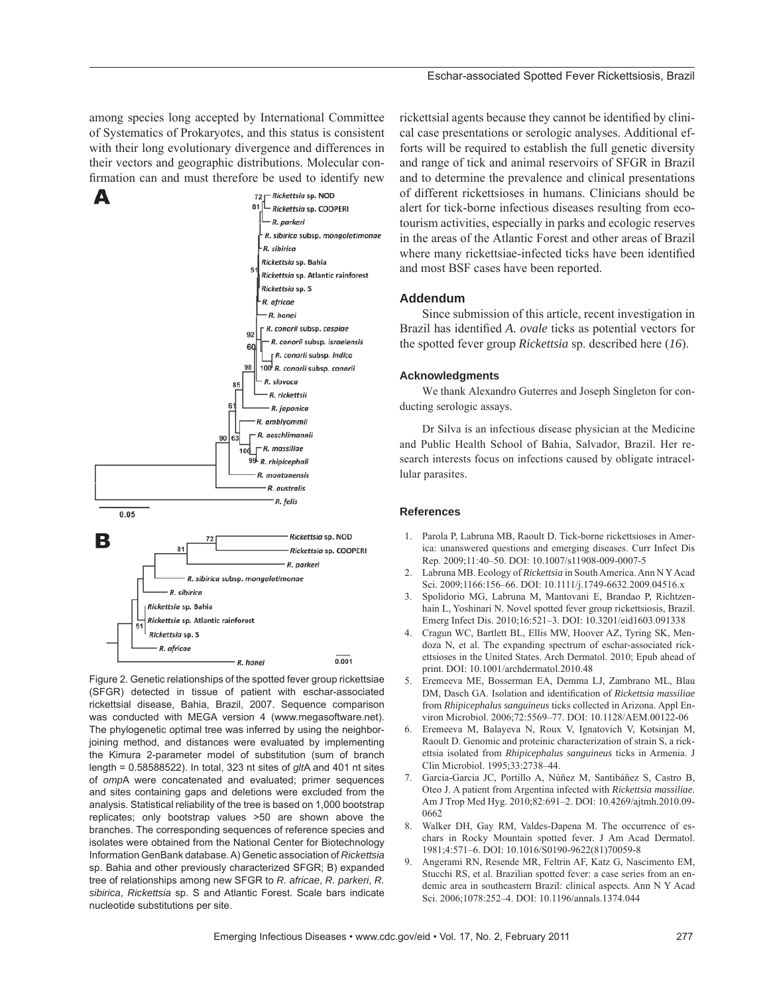among species long accepted by International Committee of Systematics of Prokaryotes, and this status is consistent with their long evolutionary divergence and differences in their vectors and geographic distributions. Molecular confirmation can and must therefore be used to identify new



Figure 2. Genetic relationships of the spotted fever group rickettsiae (SFGR) detected in tissue of patient with eschar-associated rickettsial disease, Bahia, Brazil, 2007. Sequence comparison was conducted with MEGA version 4 (www.megasoftware.net). The phylogenetic optimal tree was inferred by using the neighborjoining method, and distances were evaluated by implementing the Kimura 2-parameter model of substitution (sum of branch length = 0.58588522). In total, 323 nt sites of *glt*A and 401 nt sites of *omp*A were concatenated and evaluated; primer sequences and sites containing gaps and deletions were excluded from the analysis. Statistical reliability of the tree is based on 1,000 bootstrap replicates; only bootstrap values >50 are shown above the branches. The corresponding sequences of reference species and isolates were obtained from the National Center for Biotechnology Information GenBank database. A) Genetic association of *Rickettsia* sp. Bahia and other previously characterized SFGR; B) expanded tree of relationships among new SFGR to *R. africae*, *R. parkeri*, *R. sibirica*, *Rickettsia* sp. S and Atlantic Forest. Scale bars indicate nucleotide substitutions per site.

rickettsial agents because they cannot be identified by clinical case presentations or serologic analyses. Additional efforts will be required to establish the full genetic diversity and range of tick and animal reservoirs of SFGR in Brazil and to determine the prevalence and clinical presentations of different rickettsioses in humans. Clinicians should be alert for tick-borne infectious diseases resulting from ecotourism activities, especially in parks and ecologic reserves in the areas of the Atlantic Forest and other areas of Brazil where many rickettsiae-infected ticks have been identified and most BSF cases have been reported.

#### **Addendum**

Since submission of this article, recent investigation in Brazil has identified *A. ovale* ticks as potential vectors for the spotted fever group *Rickettsia* sp. described here (*16*).

#### **Acknowledgments**

We thank Alexandro Guterres and Joseph Singleton for conducting serologic assays.

Dr Silva is an infectious disease physician at the Medicine and Public Health School of Bahia, Salvador, Brazil. Her research interests focus on infections caused by obligate intracellular parasites.

## **References**

- 1. Parola P, Labruna MB, Raoult D. Tick-borne rickettsioses in America: unanswered questions and emerging diseases. Curr Infect Dis Rep. 2009;11:40–50. DOI: 10.1007/s11908-009-0007-5
- 2. Labruna MB. Ecology of *Rickettsia* in South America. Ann N Y Acad Sci. 2009;1166:156–66. DOI: 10.1111/j.1749-6632.2009.04516.x
- 3. Spolidorio MG, Labruna M, Mantovani E, Brandao P, Richtzenhain L, Yoshinari N. Novel spotted fever group rickettsiosis, Brazil. Emerg Infect Dis. 2010;16:521–3. DOI: 10.3201/eid1603.091338
- 4. Cragun WC, Bartlett BL, Ellis MW, Hoover AZ, Tyring SK, Mendoza N, et al. The expanding spectrum of eschar-associated rickettsioses in the United States. Arch Dermatol. 2010; Epub ahead of print. DOI: 10.1001/archdermatol.2010.48
- 5. Eremeeva ME, Bosserman EA, Demma LJ, Zambrano ML, Blau DM, Dasch GA. Isolation and identification of *Rickettsia massiliae* from *Rhipicephalus sanguineus* ticks collected in Arizona. Appl Environ Microbiol. 2006;72:5569–77. DOI: 10.1128/AEM.00122-06
- 6. Eremeeva M, Balayeva N, Roux V, Ignatovich V, Kotsinjan M, Raoult D. Genomic and proteinic characterization of strain S, a rickettsia isolated from *Rhipicephalus sanguineus* ticks in Armenia. J Clin Microbiol. 1995;33:2738–44.
- 7. Garcia-Garcia JC, Portillo A, Núñez M, Santibáñez S, Castro B, Oteo J. A patient from Argentina infected with *Rickettsia massiliae.* Am J Trop Med Hyg. 2010;82:691–2. DOI: 10.4269/ajtmh.2010.09- 0662
- 8. Walker DH, Gay RM, Valdes-Dapena M. The occurrence of eschars in Rocky Mountain spotted fever. J Am Acad Dermatol. 1981;4:571–6. DOI: 10.1016/S0190-9622(81)70059-8
- 9. Angerami RN, Resende MR, Feltrin AF, Katz G, Nascimento EM, Stucchi RS, et al. Brazilian spotted fever: a case series from an endemic area in southeastern Brazil: clinical aspects. Ann N Y Acad Sci. 2006;1078:252–4. DOI: 10.1196/annals.1374.044